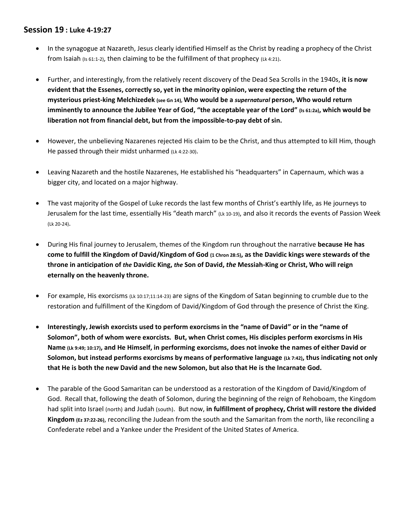## **Session 19 : Luke 4-19:27**

- In the synagogue at Nazareth, Jesus clearly identified Himself as the Christ by reading a prophecy of the Christ from Isaiah (Is 61:1-2), then claiming to be the fulfillment of that prophecy (Lk 4:21).
- Further, and interestingly, from the relatively recent discovery of the Dead Sea Scrolls in the 1940s, **it is now evident that the Essenes, correctly so, yet in the minority opinion, were expecting the return of the mysterious priest-king Melchizedek (see Gn 14), Who would be a** *supernatural* **person, Who would return imminently to announce the Jubilee Year of God, "the acceptable year of the Lord" (Is 61:2a), which would be liberation not from financial debt, but from the impossible-to-pay debt of sin.**
- However, the unbelieving Nazarenes rejected His claim to be the Christ, and thus attempted to kill Him, though He passed through their midst unharmed (Lk 4:22-30).
- Leaving Nazareth and the hostile Nazarenes, He established his "headquarters" in Capernaum, which was a bigger city, and located on a major highway.
- The vast majority of the Gospel of Luke records the last few months of Christ's earthly life, as He journeys to Jerusalem for the last time, essentially His "death march" (Lk 10-19), and also it records the events of Passion Week (Lk 20-24).
- During His final journey to Jerusalem, themes of the Kingdom run throughout the narrative **because He has come to fulfill the Kingdom of David/Kingdom of God (1 Chron 28:5), as the Davidic kings were stewards of the throne in anticipation of** *the* **Davidic King,** *the* **Son of David,** *the* **Messiah-King or Christ, Who will reign eternally on the heavenly throne.**
- For example, His exorcisms (Lk 10:17;11:14-23) are signs of the Kingdom of Satan beginning to crumble due to the restoration and fulfillment of the Kingdom of David/Kingdom of God through the presence of Christ the King.
- **Interestingly, Jewish exorcists used to perform exorcisms in the "name of David" or in the "name of Solomon", both of whom were exorcists. But, when Christ comes, His disciples perform exorcisms in His Name (Lk 9:49; 10:17), and He Himself, in performing exorcisms, does not invoke the names of either David or Solomon, but instead performs exorcisms by means of performative language (Lk 7:42), thus indicating not only that He is both the new David and the new Solomon, but also that He is the Incarnate God.**
- The parable of the Good Samaritan can be understood as a restoration of the Kingdom of David/Kingdom of God. Recall that, following the death of Solomon, during the beginning of the reign of Rehoboam, the Kingdom had split into Israel (north) and Judah (south). But now, **in fulfillment of prophecy, Christ will restore the divided Kingdom (Ez 37:22-26)**, reconciling the Judean from the south and the Samaritan from the north, like reconciling a Confederate rebel and a Yankee under the President of the United States of America.